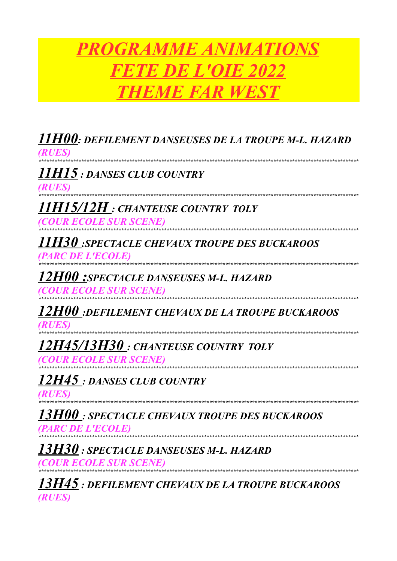## **PROGRAMME ANIMATIONS FETE DE L'OIE 2022 THEME FAR WEST**

| 11H00: DEFILEMENT DANSEUSES DE LA TROUPE M-L. HAZARD<br>(RUES                                               |
|-------------------------------------------------------------------------------------------------------------|
| 11H15 : DANSES CLUB COUNTRY<br>(RUES)                                                                       |
| 11H15/12H : chanteuse country toly<br><i>(COUR ECOLE SUR SCENE)</i>                                         |
| <b>11H30</b> :SPECTACLE CHEVAUX TROUPE DES BUCKAROOS<br><i>(PARC DE L'ECOLE)</i>                            |
| <b>12H00: SPECTACLE DANSEUSES M-L. HAZARD</b><br><i><b>(COUR ECOLE SUR SCENE)</b></i>                       |
| 12H00 :DEFILEMENT CHEVAUX DE LA TROUPE BUCKAROOS<br><b>RUES)</b>                                            |
| 12H45/13H30: CHANTEUSE COUNTRY TOLY<br><i><b>COUR ECOLE SUR SCENE</b></i><br>****************************** |
| 12H45 : DANSES CLUB COUNTRY<br>(RUES)                                                                       |
| <b>13H00</b> : SPECTACLE CHEVAUX TROUPE DES BUCKAROOS<br><b>PARC DE L'ECOLE)</b>                            |
| 13H30 : SPECTACLE DANSEUSES M-L. HAZARD<br>(COUR ECOLE SUR SCENE)                                           |
| 13H45 : DEFILEMENT CHEVAUX DE LA TROUPE BUCKAROOS<br>(RUES)                                                 |